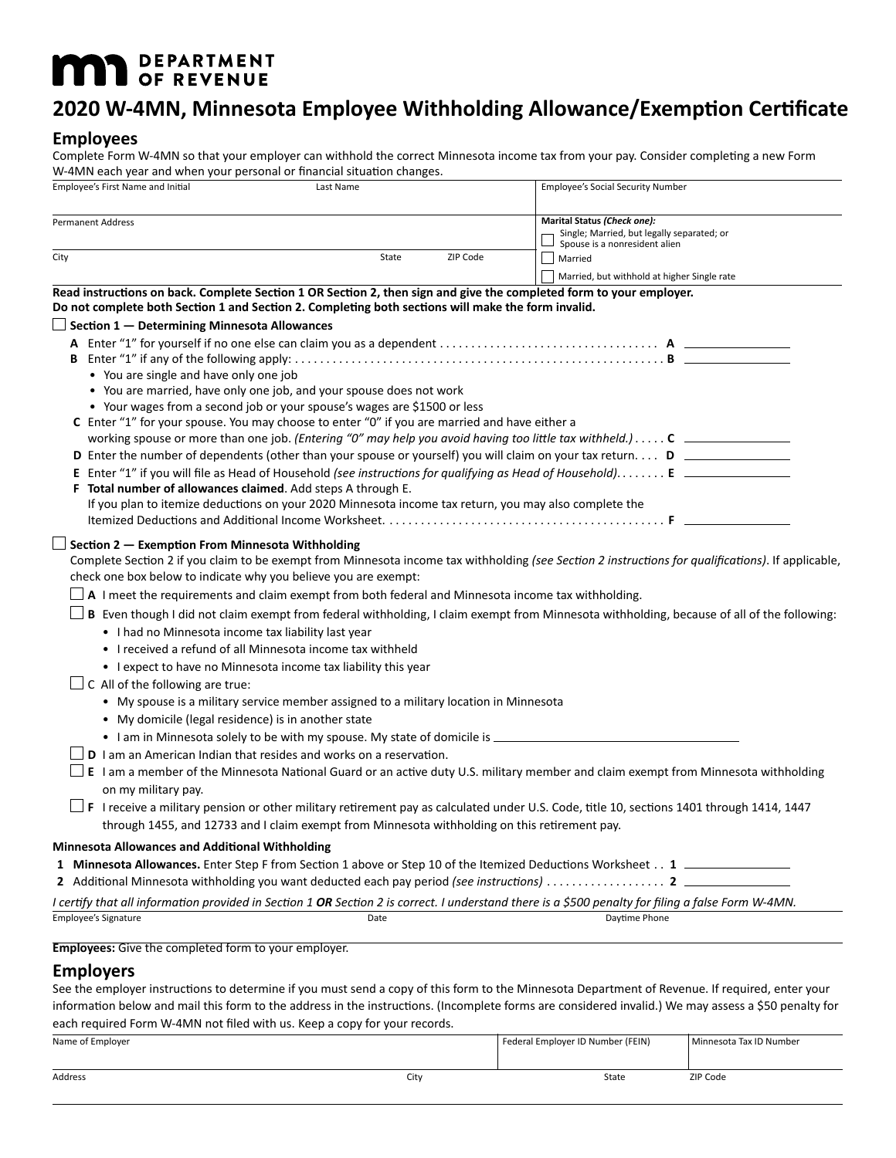# **MAN** DEPARTMENT

## **2020 W-4MN, Minnesota Employee Withholding Allowance/Exemption Certificate**

### **Employees**

Complete Form W-4MN so that your employer can withhold the correct Minnesota income tax from your pay. Consider completing a new Form W-4MN each year and when your personal or financial situation changes.

| Employee's First Name and Initial                                                                                                                                                                                                                                                                                                                                                                                                                    | Last Name                                                                                             | <b>Employee's Social Security Number</b>                                                                                                                                                                                                                                                                                                                                 |
|------------------------------------------------------------------------------------------------------------------------------------------------------------------------------------------------------------------------------------------------------------------------------------------------------------------------------------------------------------------------------------------------------------------------------------------------------|-------------------------------------------------------------------------------------------------------|--------------------------------------------------------------------------------------------------------------------------------------------------------------------------------------------------------------------------------------------------------------------------------------------------------------------------------------------------------------------------|
| <b>Permanent Address</b><br>City                                                                                                                                                                                                                                                                                                                                                                                                                     | State<br>ZIP Code                                                                                     | Marital Status (Check one):<br>Single; Married, but legally separated; or<br>Spouse is a nonresident alien<br>Married                                                                                                                                                                                                                                                    |
|                                                                                                                                                                                                                                                                                                                                                                                                                                                      |                                                                                                       | Married, but withhold at higher Single rate                                                                                                                                                                                                                                                                                                                              |
| Read instructions on back. Complete Section 1 OR Section 2, then sign and give the completed form to your employer.<br>Do not complete both Section 1 and Section 2. Completing both sections will make the form invalid.                                                                                                                                                                                                                            |                                                                                                       |                                                                                                                                                                                                                                                                                                                                                                          |
| Section 1 - Determining Minnesota Allowances                                                                                                                                                                                                                                                                                                                                                                                                         |                                                                                                       |                                                                                                                                                                                                                                                                                                                                                                          |
| • You are single and have only one job<br>• You are married, have only one job, and your spouse does not work<br>• Your wages from a second job or your spouse's wages are \$1500 or less<br>C Enter "1" for your spouse. You may choose to enter "0" if you are married and have either a<br>F Total number of allowances claimed. Add steps A through E.                                                                                           |                                                                                                       | working spouse or more than one job. (Entering "0" may help you avoid having too little tax withheld.) $\dots$ . C $\Box$<br>D Enter the number of dependents (other than your spouse or yourself) you will claim on your tax return D<br>E Enter "1" if you will file as Head of Household (see instructions for qualifying as Head of Household) E ___________________ |
|                                                                                                                                                                                                                                                                                                                                                                                                                                                      | If you plan to itemize deductions on your 2020 Minnesota income tax return, you may also complete the |                                                                                                                                                                                                                                                                                                                                                                          |
| Section 2 - Exemption From Minnesota Withholding<br>check one box below to indicate why you believe you are exempt:<br>A I meet the requirements and claim exempt from both federal and Minnesota income tax withholding.<br>• I had no Minnesota income tax liability last year<br>• I received a refund of all Minnesota income tax withheld<br>• I expect to have no Minnesota income tax liability this year<br>C All of the following are true: |                                                                                                       | Complete Section 2 if you claim to be exempt from Minnesota income tax withholding (see Section 2 instructions for qualifications). If applicable,<br>B Even though I did not claim exempt from federal withholding, I claim exempt from Minnesota withholding, because of all of the following:                                                                         |
| • My domicile (legal residence) is in another state                                                                                                                                                                                                                                                                                                                                                                                                  | • My spouse is a military service member assigned to a military location in Minnesota                 |                                                                                                                                                                                                                                                                                                                                                                          |
|                                                                                                                                                                                                                                                                                                                                                                                                                                                      | • I am in Minnesota solely to be with my spouse. My state of domicile is ______                       |                                                                                                                                                                                                                                                                                                                                                                          |
| <b>D</b> I am an American Indian that resides and works on a reservation.<br>on my military pay.                                                                                                                                                                                                                                                                                                                                                     | through 1455, and 12733 and I claim exempt from Minnesota withholding on this retirement pay.         | E I am a member of the Minnesota National Guard or an active duty U.S. military member and claim exempt from Minnesota withholding<br>$\perp$ F I receive a military pension or other military retirement pay as calculated under U.S. Code, title 10, sections 1401 through 1414, 1447                                                                                  |
| <b>Minnesota Allowances and Additional Withholding</b>                                                                                                                                                                                                                                                                                                                                                                                               |                                                                                                       |                                                                                                                                                                                                                                                                                                                                                                          |
|                                                                                                                                                                                                                                                                                                                                                                                                                                                      |                                                                                                       | 1 Minnesota Allowances. Enter Step F from Section 1 above or Step 10 of the Itemized Deductions Worksheet 1                                                                                                                                                                                                                                                              |
|                                                                                                                                                                                                                                                                                                                                                                                                                                                      |                                                                                                       | I certify that all information provided in Section 1 <b>OR</b> Section 2 is correct. I understand there is a \$500 penalty for filing a false Form W-4MN.                                                                                                                                                                                                                |
| Employee's Signature                                                                                                                                                                                                                                                                                                                                                                                                                                 | Date                                                                                                  | Daytime Phone                                                                                                                                                                                                                                                                                                                                                            |
| <b>Employees:</b> Give the completed form to your employer.                                                                                                                                                                                                                                                                                                                                                                                          |                                                                                                       |                                                                                                                                                                                                                                                                                                                                                                          |
|                                                                                                                                                                                                                                                                                                                                                                                                                                                      |                                                                                                       |                                                                                                                                                                                                                                                                                                                                                                          |

### **Employers**

See the employer instructions to determine if you must send a copy of this form to the Minnesota Department of Revenue. If required, enter your information below and mail this form to the address in the instructions. (Incomplete forms are considered invalid.) We may assess a \$50 penalty for each required Form W-4MN not filed with us. Keep a copy for your records.

| Name of Employer |      | Federal Employer ID Number (FEIN) | Minnesota Tax ID Number |
|------------------|------|-----------------------------------|-------------------------|
|                  |      |                                   |                         |
| Address          | City | State                             | ZIP Code                |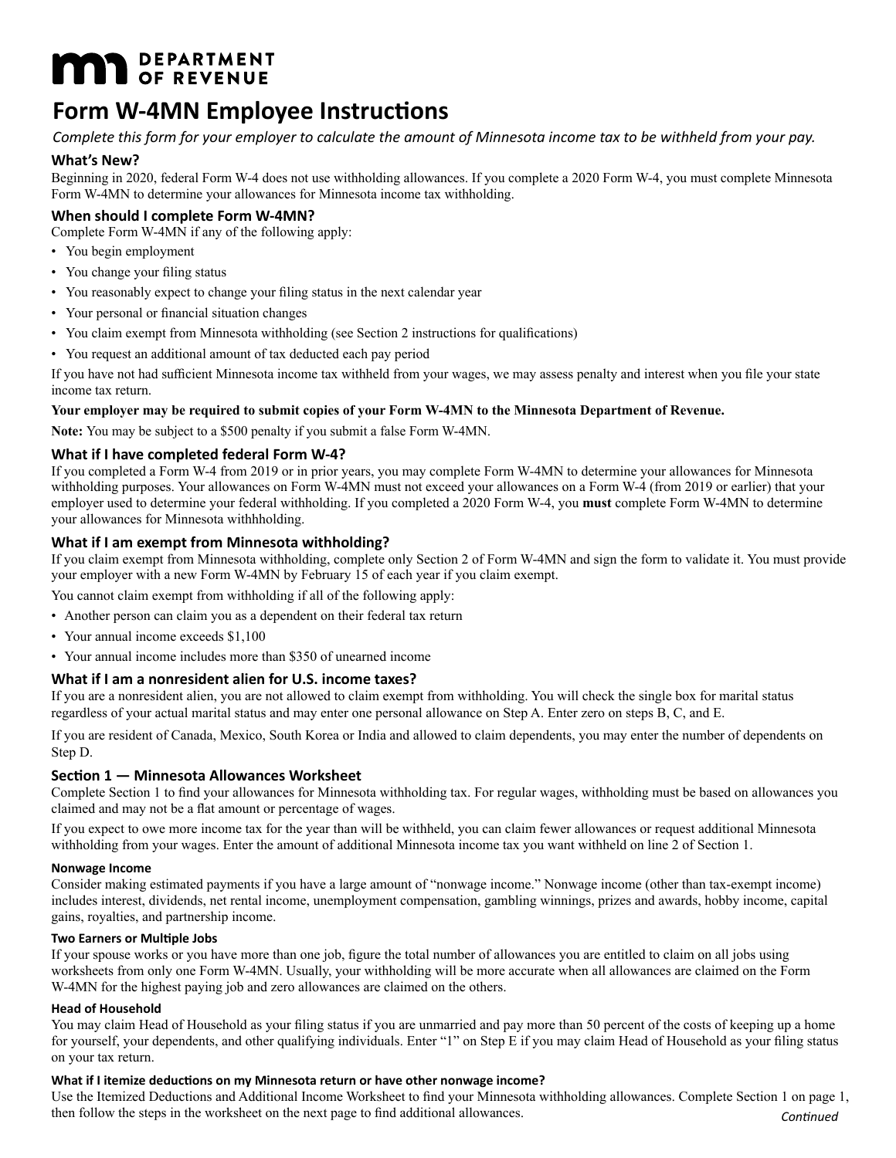# **MAT DEPARTMENT**

## **Form W-4MN Employee Instructions**

*Complete this form for your employer to calculate the amount of Minnesota income tax to be withheld from your pay.*

### **What's New?**

Beginning in 2020, federal Form W-4 does not use withholding allowances. If you complete a 2020 Form W-4, you must complete Minnesota Form W-4MN to determine your allowances for Minnesota income tax withholding.

### **When should I complete Form W-4MN?**

Complete Form W-4MN if any of the following apply:

- You begin employment
- You change your filing status
- You reasonably expect to change your filing status in the next calendar year
- Your personal or financial situation changes
- You claim exempt from Minnesota withholding (see Section 2 instructions for qualifications)
- You request an additional amount of tax deducted each pay period

If you have not had sufficient Minnesota income tax withheld from your wages, we may assess penalty and interest when you file your state income tax return.

### **Your employer may be required to submit copies of your Form W-4MN to the Minnesota Department of Revenue.**

**Note:** You may be subject to a \$500 penalty if you submit a false Form W-4MN.

### **What if I have completed federal Form W-4?**

If you completed a Form W-4 from 2019 or in prior years, you may complete Form W-4MN to determine your allowances for Minnesota withholding purposes. Your allowances on Form W-4MN must not exceed your allowances on a Form W-4 (from 2019 or earlier) that your employer used to determine your federal withholding. If you completed a 2020 Form W-4, you **must** complete Form W-4MN to determine your allowances for Minnesota withhholding.

### **What if I am exempt from Minnesota withholding?**

If you claim exempt from Minnesota withholding, complete only Section 2 of Form W-4MN and sign the form to validate it. You must provide your employer with a new Form W-4MN by February 15 of each year if you claim exempt.

You cannot claim exempt from withholding if all of the following apply:

- Another person can claim you as a dependent on their federal tax return
- Your annual income exceeds \$1,100
- Your annual income includes more than \$350 of unearned income

### **What if I am a nonresident alien for U.S. income taxes?**

If you are a nonresident alien, you are not allowed to claim exempt from withholding. You will check the single box for marital status regardless of your actual marital status and may enter one personal allowance on Step A. Enter zero on steps B, C, and E.

If you are resident of Canada, Mexico, South Korea or India and allowed to claim dependents, you may enter the number of dependents on Step D.

### **Section 1 — Minnesota Allowances Worksheet**

Complete Section 1 to find your allowances for Minnesota withholding tax. For regular wages, withholding must be based on allowances you claimed and may not be a flat amount or percentage of wages.

If you expect to owe more income tax for the year than will be withheld, you can claim fewer allowances or request additional Minnesota withholding from your wages. Enter the amount of additional Minnesota income tax you want withheld on line 2 of Section 1.

### **Nonwage Income**

Consider making estimated payments if you have a large amount of "nonwage income." Nonwage income (other than tax-exempt income) includes interest, dividends, net rental income, unemployment compensation, gambling winnings, prizes and awards, hobby income, capital gains, royalties, and partnership income.

### **Two Earners or Multiple Jobs**

If your spouse works or you have more than one job, figure the total number of allowances you are entitled to claim on all jobs using worksheets from only one Form W-4MN. Usually, your withholding will be more accurate when all allowances are claimed on the Form W-4MN for the highest paying job and zero allowances are claimed on the others.

### **Head of Household**

You may claim Head of Household as your filing status if you are unmarried and pay more than 50 percent of the costs of keeping up a home for yourself, your dependents, and other qualifying individuals. Enter "1" on Step E if you may claim Head of Household as your filing status on your tax return.

### **What if I itemize deductions on my Minnesota return or have other nonwage income?**

Use the Itemized Deductions and Additional Income Worksheet to find your Minnesota withholding allowances. Complete Section 1 on page 1, then follow the steps in the worksheet on the next page to find additional allowances. *Continued*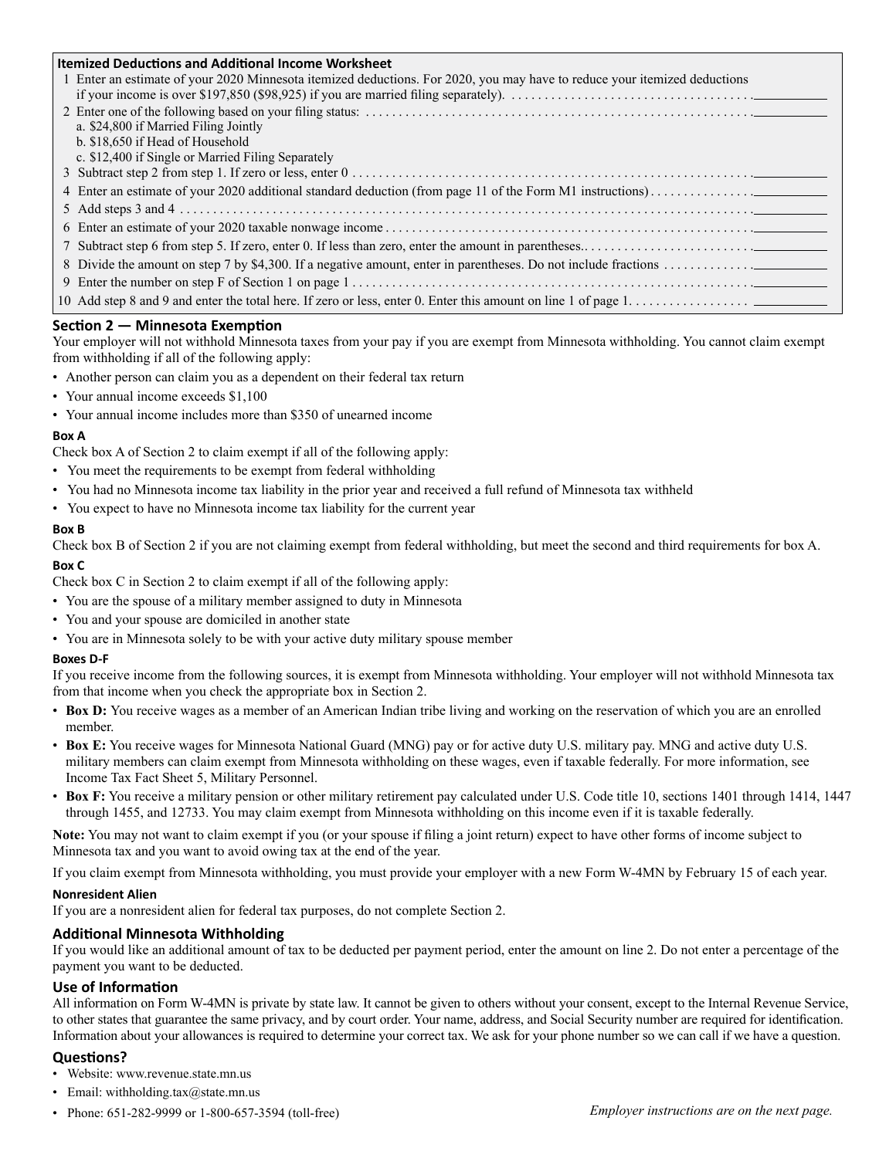| <b>Itemized Deductions and Additional Income Worksheet</b> |                                                                                                                           |  |  |
|------------------------------------------------------------|---------------------------------------------------------------------------------------------------------------------------|--|--|
|                                                            | 1 Enter an estimate of your 2020 Minnesota itemized deductions. For 2020, you may have to reduce your itemized deductions |  |  |
|                                                            |                                                                                                                           |  |  |
|                                                            |                                                                                                                           |  |  |
|                                                            | a. \$24,800 if Married Filing Jointly                                                                                     |  |  |
|                                                            | b. \$18,650 if Head of Household                                                                                          |  |  |
|                                                            | c. \$12,400 if Single or Married Filing Separately                                                                        |  |  |
|                                                            |                                                                                                                           |  |  |
|                                                            |                                                                                                                           |  |  |
|                                                            |                                                                                                                           |  |  |
|                                                            |                                                                                                                           |  |  |
|                                                            |                                                                                                                           |  |  |
|                                                            |                                                                                                                           |  |  |
|                                                            |                                                                                                                           |  |  |
|                                                            |                                                                                                                           |  |  |

### **Section 2 — Minnesota Exemption**

Your employer will not withhold Minnesota taxes from your pay if you are exempt from Minnesota withholding. You cannot claim exempt from withholding if all of the following apply:

- Another person can claim you as a dependent on their federal tax return
- Your annual income exceeds \$1,100
- Your annual income includes more than \$350 of unearned income

### **Box A**

Check box A of Section 2 to claim exempt if all of the following apply:

- You meet the requirements to be exempt from federal withholding
- You had no Minnesota income tax liability in the prior year and received a full refund of Minnesota tax withheld
- You expect to have no Minnesota income tax liability for the current year

### **Box B**

Check box B of Section 2 if you are not claiming exempt from federal withholding, but meet the second and third requirements for box A.

**Box C**

Check box C in Section 2 to claim exempt if all of the following apply:

- You are the spouse of a military member assigned to duty in Minnesota
- You and your spouse are domiciled in another state
- You are in Minnesota solely to be with your active duty military spouse member

### **Boxes D-F**

If you receive income from the following sources, it is exempt from Minnesota withholding. Your employer will not withhold Minnesota tax from that income when you check the appropriate box in Section 2.

- **Box D:** You receive wages as a member of an American Indian tribe living and working on the reservation of which you are an enrolled member.
- **Box E:** You receive wages for Minnesota National Guard (MNG) pay or for active duty U.S. military pay. MNG and active duty U.S. military members can claim exempt from Minnesota withholding on these wages, even if taxable federally. For more information, see Income Tax Fact Sheet 5, Military Personnel.
- **Box F:** You receive a military pension or other military retirement pay calculated under U.S. Code title 10, sections 1401 through 1414, 1447 through 1455, and 12733. You may claim exempt from Minnesota withholding on this income even if it is taxable federally.

**Note:** You may not want to claim exempt if you (or your spouse if filing a joint return) expect to have other forms of income subject to Minnesota tax and you want to avoid owing tax at the end of the year.

If you claim exempt from Minnesota withholding, you must provide your employer with a new Form W-4MN by February 15 of each year.

### **Nonresident Alien**

If you are a nonresident alien for federal tax purposes, do not complete Section 2.

### **Additional Minnesota Withholding**

If you would like an additional amount of tax to be deducted per payment period, enter the amount on line 2. Do not enter a percentage of the payment you want to be deducted.

### **Use of Information**

All information on Form W-4MN is private by state law. It cannot be given to others without your consent, except to the Internal Revenue Service, to other states that guarantee the same privacy, and by court order. Your name, address, and Social Security number are required for identification. Information about your allowances is required to determine your correct tax. We ask for your phone number so we can call if we have a question.

### **Questions?**

- Website: www.revenue.state.mn.us
- Email: withholding.tax $@$ state.mn.us
- Phone: 651-282-9999 or 1-800-657-3594 (toll-free)